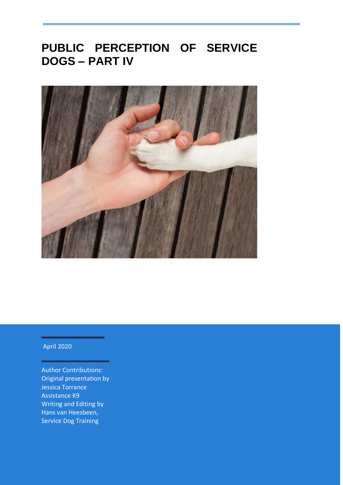# **PUBLIC PERCEPTION OF SERVICE DOGS – PART IV**



#### April 2020

Author Contributions: Original presentation by Jessica Torrance Assistance K9 Writing and Editing by Hans van Heesbeen, Service Dog Training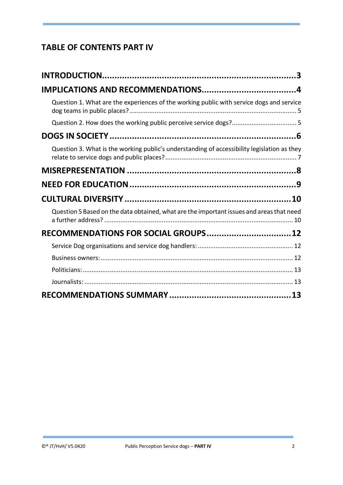#### **TABLE OF CONTENTS PART IV**

| Question 1. What are the experiences of the working public with service dogs and service    |  |
|---------------------------------------------------------------------------------------------|--|
|                                                                                             |  |
|                                                                                             |  |
| Question 3. What is the working public's understanding of accessibility legislation as they |  |
|                                                                                             |  |
|                                                                                             |  |
|                                                                                             |  |
| Question 5 Based on the data obtained, what are the important issues and areas that need    |  |
| RECOMMENDATIONS FOR SOCIAL GROUPS 12                                                        |  |
|                                                                                             |  |
|                                                                                             |  |
|                                                                                             |  |
|                                                                                             |  |
|                                                                                             |  |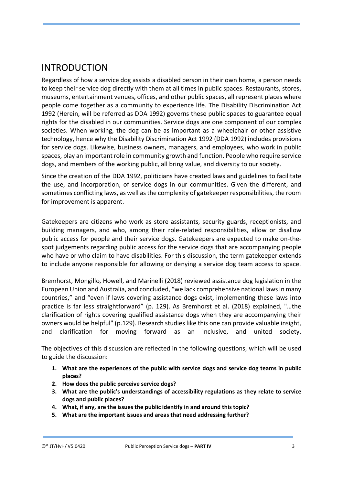#### <span id="page-2-0"></span>INTRODUCTION

Regardless of how a service dog assists a disabled person in their own home, a person needs to keep their service dog directly with them at all times in public spaces. Restaurants, stores, museums, entertainment venues, offices, and other public spaces, all represent places where people come together as a community to experience life. The Disability Discrimination Act 1992 (Herein, will be referred as DDA 1992) governs these public spaces to guarantee equal rights for the disabled in our communities. Service dogs are one component of our complex societies. When working, the dog can be as important as a wheelchair or other assistive technology, hence why the Disability Discrimination Act 1992 (DDA 1992) includes provisions for service dogs. Likewise, business owners, managers, and employees, who work in public spaces, play an important role in community growth and function. People who require service dogs, and members of the working public, all bring value, and diversity to our society.

Since the creation of the DDA 1992, politicians have created laws and guidelines to facilitate the use, and incorporation, of service dogs in our communities. Given the different, and sometimes conflicting laws, as well as the complexity of gatekeeper responsibilities, the room for improvement is apparent.

Gatekeepers are citizens who work as store assistants, security guards, receptionists, and building managers, and who, among their role-related responsibilities, allow or disallow public access for people and their service dogs. Gatekeepers are expected to make on-thespot judgements regarding public access for the service dogs that are accompanying people who have or who claim to have disabilities. For this discussion, the term gatekeeper extends to include anyone responsible for allowing or denying a service dog team access to space.

Bremhorst, Mongillo, Howell, and Marinelli (2018) reviewed assistance dog legislation in the European Union and Australia, and concluded, "we lack comprehensive national laws in many countries," and "even if laws covering assistance dogs exist, implementing these laws into practice is far less straightforward" (p. 129). As Bremhorst et al. (2018) explained, "…the clarification of rights covering qualified assistance dogs when they are accompanying their owners would be helpful" (p.129). Research studies like this one can provide valuable insight, and clarification for moving forward as an inclusive, and united society.

The objectives of this discussion are reflected in the following questions, which will be used to guide the discussion:

- **1. What are the experiences of the public with service dogs and service dog teams in public places?**
- **2. How does the public perceive service dogs?**
- **3. What are the public's understandings of accessibility regulations as they relate to service dogs and public places?**
- **4. What, if any, are the issues the public identify in and around this topic?**
- **5. What are the important issues and areas that need addressing further?**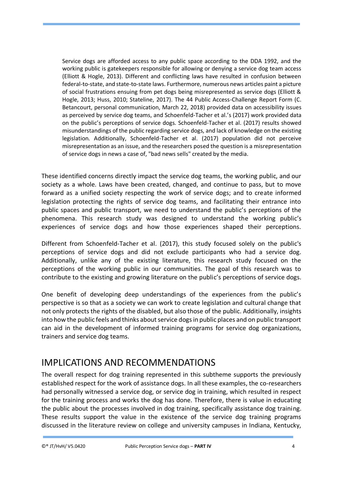Service dogs are afforded access to any public space according to the DDA 1992, and the working public is gatekeepers responsible for allowing or denying a service dog team access (Elliott & Hogle, 2013). Different and conflicting laws have resulted in confusion between federal-to-state, and state-to-state laws. Furthermore, numerous news articles paint a picture of social frustrations ensuing from pet dogs being misrepresented as service dogs (Elliott & Hogle, 2013; Huss, 2010; Stateline, 2017). The 44 Public Access-Challenge Report Form (C. Betancourt, personal communication, March 22, 2018) provided data on accessibility issues as perceived by service dog teams, and Schoenfeld-Tacher et al.'s (2017) work provided data on the public's perceptions of service dogs. Schoenfeld-Tacher et al. (2017) results showed misunderstandings of the public regarding service dogs, and lack of knowledge on the existing legislation. Additionally, Schoenfeld-Tacher et al. (2017) population did not perceive misrepresentation as an issue, and the researchers posed the question is a misrepresentation of service dogs in news a case of, "bad news sells" created by the media.

These identified concerns directly impact the service dog teams, the working public, and our society as a whole. Laws have been created, changed, and continue to pass, but to move forward as a unified society respecting the work of service dogs; and to create informed legislation protecting the rights of service dog teams, and facilitating their entrance into public spaces and public transport, we need to understand the public's perceptions of the phenomena. This research study was designed to understand the working public's experiences of service dogs and how those experiences shaped their perceptions.

Different from Schoenfeld-Tacher et al. (2017), this study focused solely on the public's perceptions of service dogs and did not exclude participants who had a service dog. Additionally, unlike any of the existing literature, this research study focused on the perceptions of the working public in our communities. The goal of this research was to contribute to the existing and growing literature on the public's perceptions of service dogs.

One benefit of developing deep understandings of the experiences from the public's perspective is so that as a society we can work to create legislation and cultural change that not only protects the rights of the disabled, but also those of the public. Additionally, insights into how the public feels and thinks about service dogs in public places and on public transport can aid in the development of informed training programs for service dog organizations, trainers and service dog teams.

### <span id="page-3-0"></span>IMPLICATIONS AND RECOMMENDATIONS

The overall respect for dog training represented in this subtheme supports the previously established respect for the work of assistance dogs. In all these examples, the co-researchers had personally witnessed a service dog, or service dog in training, which resulted in respect for the training process and works the dog has done. Therefore, there is value in educating the public about the processes involved in dog training, specifically assistance dog training. These results support the value in the existence of the service dog training programs discussed in the literature review on college and university campuses in Indiana, Kentucky,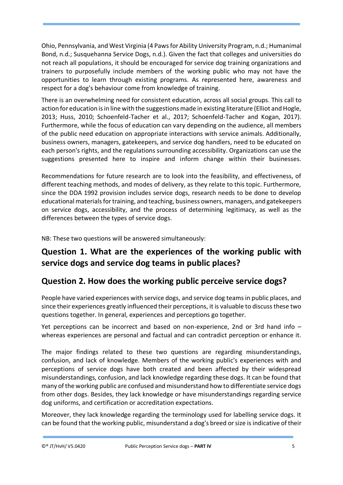Ohio, Pennsylvania, and West Virginia (4 Paws for Ability University Program, n.d.; Humanimal Bond, n.d.; Susquehanna Service Dogs, n.d.). Given the fact that colleges and universities do not reach all populations, it should be encouraged for service dog training organizations and trainers to purposefully include members of the working public who may not have the opportunities to learn through existing programs. As represented here, awareness and respect for a dog's behaviour come from knowledge of training.

There is an overwhelming need for consistent education, across all social groups. This call to action for education is in line with the suggestions made in existing literature (Elliot and Hogle, 2013; Huss, 2010; Schoenfeld-Tacher et al., 2017; Schoenfeld-Tacher and Kogan, 2017). Furthermore, while the focus of education can vary depending on the audience, all members of the public need education on appropriate interactions with service animals. Additionally, business owners, managers, gatekeepers, and service dog handlers, need to be educated on each person's rights, and the regulations surrounding accessibility. Organizations can use the suggestions presented here to inspire and inform change within their businesses.

Recommendations for future research are to look into the feasibility, and effectiveness, of different teaching methods, and modes of delivery, as they relate to this topic. Furthermore, since the DDA 1992 provision includes service dogs, research needs to be done to develop educational materials for training, and teaching, business owners, managers, and gatekeepers on service dogs, accessibility, and the process of determining legitimacy, as well as the differences between the types of service dogs.

NB: These two questions will be answered simultaneously:

#### <span id="page-4-0"></span>**Question 1. What are the experiences of the working public with service dogs and service dog teams in public places?**

#### <span id="page-4-1"></span>**Question 2. How does the working public perceive service dogs?**

People have varied experiences with service dogs, and service dog teams in public places, and since their experiences greatly influenced their perceptions, it is valuable to discuss these two questions together. In general, experiences and perceptions go together.

Yet perceptions can be incorrect and based on non-experience, 2nd or 3rd hand info – whereas experiences are personal and factual and can contradict perception or enhance it.

The major findings related to these two questions are regarding misunderstandings, confusion, and lack of knowledge. Members of the working public's experiences with and perceptions of service dogs have both created and been affected by their widespread misunderstandings, confusion, and lack knowledge regarding these dogs. It can be found that many of the working public are confused and misunderstand how to differentiate service dogs from other dogs. Besides, they lack knowledge or have misunderstandings regarding service dog uniforms, and certification or accreditation expectations.

Moreover, they lack knowledge regarding the terminology used for labelling service dogs. It can be found that the working public, misunderstand a dog's breed or size is indicative of their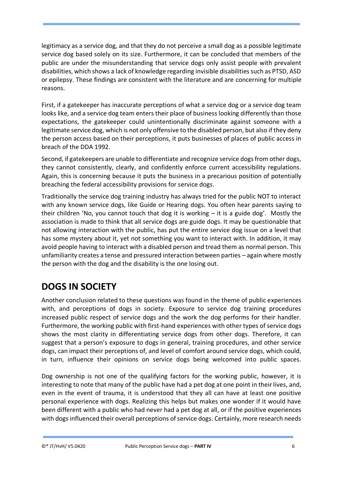legitimacy as a service dog, and that they do not perceive a small dog as a possible legitimate service dog based solely on its size. Furthermore, it can be concluded that members of the public are under the misunderstanding that service dogs only assist people with prevalent disabilities, which shows a lack of knowledge regarding invisible disabilities such as PTSD, ASD or epilepsy. These findings are consistent with the literature and are concerning for multiple reasons.

First, if a gatekeeper has inaccurate perceptions of what a service dog or a service dog team looks like, and a service dog team enters their place of business looking differently than those expectations, the gatekeeper could unintentionally discriminate against someone with a legitimate service dog, which is not only offensive to the disabled person, but also if they deny the person access based on their perceptions, it puts businesses of places of public access in breach of the DDA 1992.

Second, if gatekeepers are unable to differentiate and recognize service dogs from other dogs, they cannot consistently, clearly, and confidently enforce current accessibility regulations. Again, this is concerning because it puts the business in a precarious position of potentially breaching the federal accessibility provisions for service dogs.

Traditionally the service dog training industry has always tried for the public NOT to interact with any known service dogs, like Guide or Hearing dogs. You often hear parents saying to their children 'No, you cannot touch that dog it is working  $-$  it is a guide dog'. Mostly the association is made to think that all service dogs are guide dogs. It may be questionable that not allowing interaction with the public, has put the entire service dog issue on a level that has some mystery about it, yet not something you want to interact with. In addition, it may avoid people having to interact with a disabled person and tread them as normal person. This unfamiliarity creates a tense and pressured interaction between parties – again where mostly the person with the dog and the disability is the one losing out.

# <span id="page-5-0"></span>**DOGS IN SOCIETY**

Another conclusion related to these questions was found in the theme of public experiences with, and perceptions of dogs in society. Exposure to service dog training procedures increased public respect of service dogs and the work the dog performs for their handler. Furthermore, the working public with first-hand experiences with other types of service dogs shows the most clarity in differentiating service dogs from other dogs. Therefore, it can suggest that a person's exposure to dogs in general, training procedures, and other service dogs, can impact their perceptions of, and level of comfort around service dogs, which could, in turn, influence their opinions on service dogs being welcomed into public spaces.

Dog ownership is not one of the qualifying factors for the working public, however, it is interesting to note that many of the public have had a pet dog at one point in their lives, and, even in the event of trauma, it is understood that they all can have at least one positive personal experience with dogs. Realizing this helps but makes one wonder if it would have been different with a public who had never had a pet dog at all, or if the positive experiences with dogs influenced their overall perceptions of service dogs. Certainly, more research needs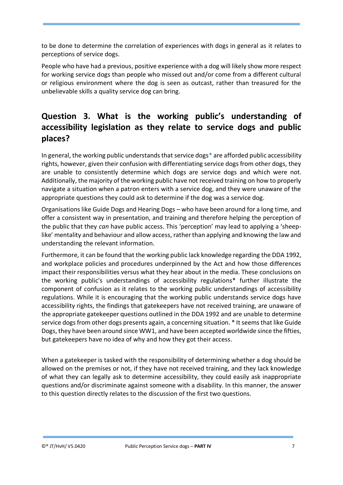to be done to determine the correlation of experiences with dogs in general as it relates to perceptions of service dogs.

People who have had a previous, positive experience with a dog will likely show more respect for working service dogs than people who missed out and/or come from a different cultural or religious environment where the dog is seen as outcast, rather than treasured for the unbelievable skills a quality service dog can bring.

### <span id="page-6-0"></span>**Question 3. What is the working public's understanding of accessibility legislation as they relate to service dogs and public places?**

In general, the working public understands that service dogs\* are afforded public accessibility rights, however, given their confusion with differentiating service dogs from other dogs, they are unable to consistently determine which dogs are service dogs and which were not. Additionally, the majority of the working public have not received training on how to properly navigate a situation when a patron enters with a service dog, and they were unaware of the appropriate questions they could ask to determine if the dog was a service dog.

Organisations like Guide Dogs and Hearing Dogs – who have been around for a long time, and offer a consistent way in presentation, and training and therefore helping the perception of the public that they *can* have public access. This 'perception' may lead to applying a 'sheeplike' mentality and behaviour and allow access, rather than applying and knowing the law and understanding the relevant information.

Furthermore, it can be found that the working public lack knowledge regarding the DDA 1992, and workplace policies and procedures underpinned by the Act and how those differences impact their responsibilities versus what they hear about in the media. These conclusions on the working public's understandings of accessibility regulations\* further illustrate the component of confusion as it relates to the working public understandings of accessibility regulations. While it is encouraging that the working public understands service dogs have accessibility rights, the findings that gatekeepers have not received training, are unaware of the appropriate gatekeeper questions outlined in the DDA 1992 and are unable to determine service dogs from other dogs presents again, a concerning situation. \* It seems that like Guide Dogs, they have been around since WW1, and have been accepted worldwide since the fifties, but gatekeepers have no idea of why and how they got their access.

When a gatekeeper is tasked with the responsibility of determining whether a dog should be allowed on the premises or not, if they have not received training, and they lack knowledge of what they can legally ask to determine accessibility, they could easily ask inappropriate questions and/or discriminate against someone with a disability. In this manner, the answer to this question directly relates to the discussion of the first two questions.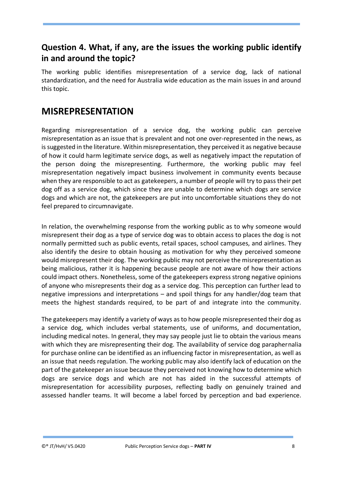#### **Question 4. What, if any, are the issues the working public identify in and around the topic?**

The working public identifies misrepresentation of a service dog, lack of national standardization, and the need for Australia wide education as the main issues in and around this topic.

#### <span id="page-7-0"></span>**MISREPRESENTATION**

Regarding misrepresentation of a service dog, the working public can perceive misrepresentation as an issue that is prevalent and not one over-represented in the news, as is suggested in the literature. Within misrepresentation, they perceived it as negative because of how it could harm legitimate service dogs, as well as negatively impact the reputation of the person doing the misrepresenting. Furthermore, the working public may feel misrepresentation negatively impact business involvement in community events because when they are responsible to act as gatekeepers, a number of people will try to pass their pet dog off as a service dog, which since they are unable to determine which dogs are service dogs and which are not, the gatekeepers are put into uncomfortable situations they do not feel prepared to circumnavigate.

In relation, the overwhelming response from the working public as to why someone would misrepresent their dog as a type of service dog was to obtain access to places the dog is not normally permitted such as public events, retail spaces, school campuses, and airlines. They also identify the desire to obtain housing as motivation for why they perceived someone would misrepresent their dog. The working public may not perceive the misrepresentation as being malicious, rather it is happening because people are not aware of how their actions could impact others. Nonetheless, some of the gatekeepers express strong negative opinions of anyone who misrepresents their dog as a service dog. This perception can further lead to negative impressions and interpretations – and spoil things for any handler/dog team that meets the highest standards required, to be part of and integrate into the community.

The gatekeepers may identify a variety of ways as to how people misrepresented their dog as a service dog, which includes verbal statements, use of uniforms, and documentation, including medical notes. In general, they may say people just lie to obtain the various means with which they are misrepresenting their dog. The availability of service dog paraphernalia for purchase online can be identified as an influencing factor in misrepresentation, as well as an issue that needs regulation. The working public may also identify lack of education on the part of the gatekeeper an issue because they perceived not knowing how to determine which dogs are service dogs and which are not has aided in the successful attempts of misrepresentation for accessibility purposes, reflecting badly on genuinely trained and assessed handler teams. It will become a label forced by perception and bad experience.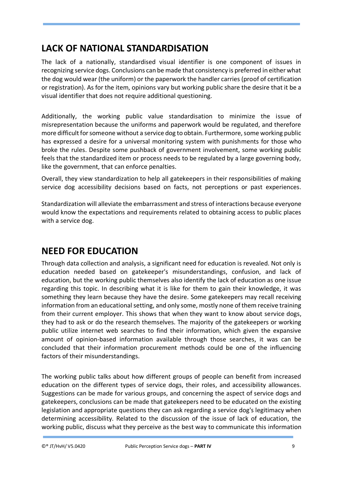### **LACK OF NATIONAL STANDARDISATION**

The lack of a nationally, standardised visual identifier is one component of issues in recognizing service dogs. Conclusions can be made that consistency is preferred in either what the dog would wear (the uniform) or the paperwork the handler carries (proof of certification or registration). As for the item, opinions vary but working public share the desire that it be a visual identifier that does not require additional questioning.

Additionally, the working public value standardisation to minimize the issue of misrepresentation because the uniforms and paperwork would be regulated, and therefore more difficult for someone without a service dog to obtain. Furthermore, some working public has expressed a desire for a universal monitoring system with punishments for those who broke the rules. Despite some pushback of government involvement, some working public feels that the standardized item or process needs to be regulated by a large governing body, like the government, that can enforce penalties.

Overall, they view standardization to help all gatekeepers in their responsibilities of making service dog accessibility decisions based on facts, not perceptions or past experiences.

Standardization will alleviate the embarrassment and stress of interactions because everyone would know the expectations and requirements related to obtaining access to public places with a service dog.

## <span id="page-8-0"></span>**NEED FOR EDUCATION**

Through data collection and analysis, a significant need for education is revealed. Not only is education needed based on gatekeeper's misunderstandings, confusion, and lack of education, but the working public themselves also identify the lack of education as one issue regarding this topic. In describing what it is like for them to gain their knowledge, it was something they learn because they have the desire. Some gatekeepers may recall receiving information from an educational setting, and only some, mostly none of them receive training from their current employer. This shows that when they want to know about service dogs, they had to ask or do the research themselves. The majority of the gatekeepers or working public utilize internet web searches to find their information, which given the expansive amount of opinion-based information available through those searches, it was can be concluded that their information procurement methods could be one of the influencing factors of their misunderstandings.

The working public talks about how different groups of people can benefit from increased education on the different types of service dogs, their roles, and accessibility allowances. Suggestions can be made for various groups, and concerning the aspect of service dogs and gatekeepers, conclusions can be made that gatekeepers need to be educated on the existing legislation and appropriate questions they can ask regarding a service dog's legitimacy when determining accessibility. Related to the discussion of the issue of lack of education, the working public, discuss what they perceive as the best way to communicate this information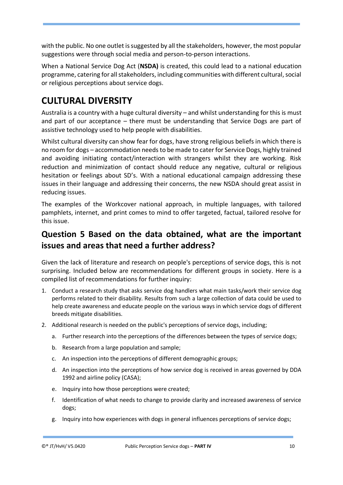with the public. No one outlet is suggested by all the stakeholders, however, the most popular suggestions were through social media and person-to-person interactions.

When a National Service Dog Act (**NSDA)** is created, this could lead to a national education programme, catering for all stakeholders, including communities with different cultural, social or religious perceptions about service dogs.

## <span id="page-9-0"></span>**CULTURAL DIVERSITY**

Australia is a country with a huge cultural diversity – and whilst understanding for this is must and part of our acceptance – there must be understanding that Service Dogs are part of assistive technology used to help people with disabilities.

Whilst cultural diversity can show fear for dogs, have strong religious beliefs in which there is no room for dogs – accommodation needs to be made to cater for Service Dogs, highly trained and avoiding initiating contact/interaction with strangers whilst they are working. Risk reduction and minimization of contact should reduce any negative, cultural or religious hesitation or feelings about SD's. With a national educational campaign addressing these issues in their language and addressing their concerns, the new NSDA should great assist in reducing issues.

The examples of the Workcover national approach, in multiple languages, with tailored pamphlets, internet, and print comes to mind to offer targeted, factual, tailored resolve for this issue.

#### <span id="page-9-1"></span>**Question 5 Based on the data obtained, what are the important issues and areas that need a further address?**

Given the lack of literature and research on people's perceptions of service dogs, this is not surprising. Included below are recommendations for different groups in society. Here is a compiled list of recommendations for further inquiry:

- 1. Conduct a research study that asks service dog handlers what main tasks/work their service dog performs related to their disability. Results from such a large collection of data could be used to help create awareness and educate people on the various ways in which service dogs of different breeds mitigate disabilities.
- 2. Additional research is needed on the public's perceptions of service dogs, including;
	- a. Further research into the perceptions of the differences between the types of service dogs;
	- b. Research from a large population and sample;
	- c. An inspection into the perceptions of different demographic groups;
	- d. An inspection into the perceptions of how service dog is received in areas governed by DDA 1992 and airline policy (CASA);
	- e. Inquiry into how those perceptions were created;
	- f. Identification of what needs to change to provide clarity and increased awareness of service dogs;
	- g. Inquiry into how experiences with dogs in general influences perceptions of service dogs;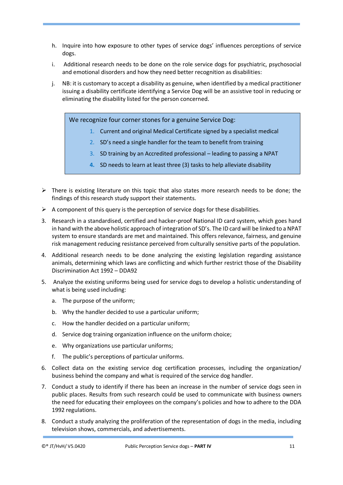- h. Inquire into how exposure to other types of service dogs' influences perceptions of service dogs.
- i. Additional research needs to be done on the role service dogs for psychiatric, psychosocial and emotional disorders and how they need better recognition as disabilities:
- j. NB: it is customary to accept a disability as genuine, when identified by a medical practitioner issuing a disability certificate identifying a Service Dog will be an assistive tool in reducing or eliminating the disability listed for the person concerned.

We recognize four corner stones for a genuine Service Dog:

- 1. Current and original Medical Certificate signed by a specialist medical
- 2. SD's need a single handler for the team to benefit from training
- 3. SD training by an Accredited professional leading to passing a NPAT
- **4.** SD needs to learn at least three (3) tasks to help alleviate disability
- $\triangleright$  There is existing literature on this topic that also states more research needs to be done; the findings of this research study support their statements.
- $\triangleright$  A component of this query is the perception of service dogs for these disabilities.
- 3. Research in a standardised, certified and hacker-proof National ID card system, which goes hand in hand with the above holistic approach of integration of SD's. The ID card will be linked to a NPAT system to ensure standards are met and maintained. This offers relevance, fairness, and genuine risk management reducing resistance perceived from culturally sensitive parts of the population.
- 4. Additional research needs to be done analyzing the existing legislation regarding assistance animals, determining which laws are conflicting and which further restrict those of the Disability Discrimination Act 1992 – DDA92
- 5. Analyze the existing uniforms being used for service dogs to develop a holistic understanding of what is being used including:
	- a. The purpose of the uniform;
	- b. Why the handler decided to use a particular uniform;
	- c. How the handler decided on a particular uniform;
	- d. Service dog training organization influence on the uniform choice;
	- e. Why organizations use particular uniforms;
	- f. The public's perceptions of particular uniforms.
- 6. Collect data on the existing service dog certification processes, including the organization/ business behind the company and what is required of the service dog handler.
- 7. Conduct a study to identify if there has been an increase in the number of service dogs seen in public places. Results from such research could be used to communicate with business owners the need for educating their employees on the company's policies and how to adhere to the DDA 1992 regulations.
- 8. Conduct a study analyzing the proliferation of the representation of dogs in the media, including television shows, commercials, and advertisements.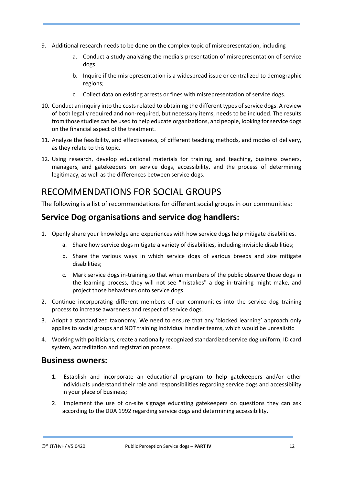- 9. Additional research needs to be done on the complex topic of misrepresentation, including
	- a. Conduct a study analyzing the media's presentation of misrepresentation of service dogs.
	- b. Inquire if the misrepresentation is a widespread issue or centralized to demographic regions;
	- c. Collect data on existing arrests or fines with misrepresentation of service dogs.
- 10. Conduct an inquiry into the costs related to obtaining the different types of service dogs. A review of both legally required and non-required, but necessary items, needs to be included. The results from those studies can be used to help educate organizations, and people, looking for service dogs on the financial aspect of the treatment.
- 11. Analyze the feasibility, and effectiveness, of different teaching methods, and modes of delivery, as they relate to this topic.
- 12. Using research, develop educational materials for training, and teaching, business owners, managers, and gatekeepers on service dogs, accessibility, and the process of determining legitimacy, as well as the differences between service dogs.

### <span id="page-11-0"></span>RECOMMENDATIONS FOR SOCIAL GROUPS

The following is a list of recommendations for different social groups in our communities:

#### <span id="page-11-1"></span>**Service Dog organisations and service dog handlers:**

- 1. Openly share your knowledge and experiences with how service dogs help mitigate disabilities.
	- a. Share how service dogs mitigate a variety of disabilities, including invisible disabilities;
	- b. Share the various ways in which service dogs of various breeds and size mitigate disabilities;
	- c. Mark service dogs in-training so that when members of the public observe those dogs in the learning process, they will not see "mistakes" a dog in-training might make, and project those behaviours onto service dogs.
- 2. Continue incorporating different members of our communities into the service dog training process to increase awareness and respect of service dogs.
- 3. Adopt a standardized taxonomy. We need to ensure that any 'blocked learning' approach only applies to social groups and NOT training individual handler teams, which would be unrealistic
- 4. Working with politicians, create a nationally recognized standardized service dog uniform, ID card system, accreditation and registration process.

#### <span id="page-11-2"></span>**Business owners:**

- 1. Establish and incorporate an educational program to help gatekeepers and/or other individuals understand their role and responsibilities regarding service dogs and accessibility in your place of business;
- 2. Implement the use of on-site signage educating gatekeepers on questions they can ask according to the DDA 1992 regarding service dogs and determining accessibility.